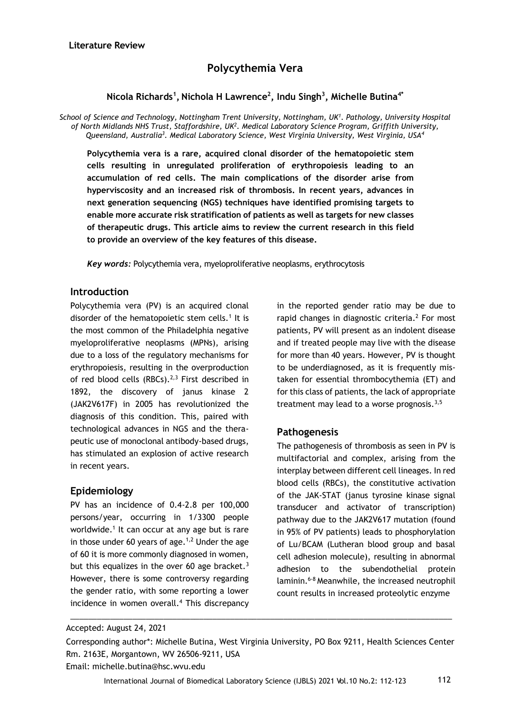# **Polycythemia Vera**

## **Nicola Richards<sup>1</sup> , Nichola H Lawrence<sup>2</sup> , Indu Singh<sup>3</sup> , Michelle Butina4\***

*School of Science and Technology, Nottingham Trent University, Nottingham, UK<sup>1</sup> . Pathology, University Hospital of North Midlands NHS Trust, Staffordshire, UK<sup>2</sup> . Medical Laboratory Science Program, Griffith University, Queensland, Australia<sup>3</sup> . Medical Laboratory Science, West Virginia University, West Virginia, USA<sup>4</sup>*

**Polycythemia vera is a rare, acquired clonal disorder of the hematopoietic stem cells resulting in unregulated proliferation of erythropoiesis leading to an accumulation of red cells. The main complications of the disorder arise from hyperviscosity and an increased risk of thrombosis. In recent years, advances in next generation sequencing (NGS) techniques have identified promising targets to enable more accurate risk stratification of patients as well as targets for new classes of therapeutic drugs. This article aims to review the current research in this field to provide an overview of the key features of this disease.**

*Key words:* Polycythemia vera, myeloproliferative neoplasms, erythrocytosis

## **Introduction**

Polycythemia vera (PV) is an acquired clonal disorder of the hematopoietic stem cells.<sup>1</sup> It is the most common of the Philadelphia negative myeloproliferative neoplasms (MPNs), arising due to a loss of the regulatory mechanisms for erythropoiesis, resulting in the overproduction of red blood cells (RBCs). $2,3$  First described in 1892, the discovery of janus kinase 2 (JAK2V617F) in 2005 has revolutionized the diagnosis of this condition. This, paired with technological advances in NGS and the therapeutic use of monoclonal antibody-based drugs, has stimulated an explosion of active research in recent years.

## **Epidemiology**

PV has an incidence of 0.4-2.8 per 100,000 persons/year, occurring in 1/3300 people worldwide.<sup>1</sup> It can occur at any age but is rare in those under 60 years of age. $1,2$  Under the age of 60 it is more commonly diagnosed in women, but this equalizes in the over 60 age bracket.<sup>3</sup> However, there is some controversy regarding the gender ratio, with some reporting a lower incidence in women overall.<sup>4</sup> This discrepancy

in the reported gender ratio may be due to rapid changes in diagnostic criteria.<sup>2</sup> For most patients, PV will present as an indolent disease and if treated people may live with the disease for more than 40 years. However, PV is thought to be underdiagnosed, as it is frequently mistaken for essential thrombocythemia (ET) and for this class of patients, the lack of appropriate treatment may lead to a worse prognosis. $3,5$ 

## **Pathogenesis**

The pathogenesis of thrombosis as seen in PV is multifactorial and complex, arising from the interplay between different cell lineages. In red blood cells (RBCs), the constitutive activation of the JAK-STAT (janus tyrosine kinase signal transducer and activator of transcription) pathway due to the JAK2V617 mutation (found in 95% of PV patients) leads to phosphorylation of Lu/BCAM (Lutheran blood group and basal cell adhesion molecule), resulting in abnormal adhesion to the subendothelial protein laminin.6-8 Meanwhile, the increased neutrophil count results in increased proteolytic enzyme

Corresponding author\*: Michelle Butina, West Virginia University, PO Box 9211, Health Sciences Center Rm. 2163E, Morgantown, WV 26506-9211, USA

\_\_\_\_\_\_\_\_\_\_\_\_\_\_\_\_\_\_\_\_\_\_\_\_\_\_\_\_\_\_\_\_\_\_\_\_\_\_\_\_\_\_\_\_\_\_\_\_\_\_\_\_\_\_\_\_\_\_\_\_\_\_\_\_\_\_\_\_\_\_\_\_\_\_\_\_\_\_\_\_\_\_\_\_\_\_

Email: michelle.butina@hsc.wvu.edu

Accepted: August 24, 2021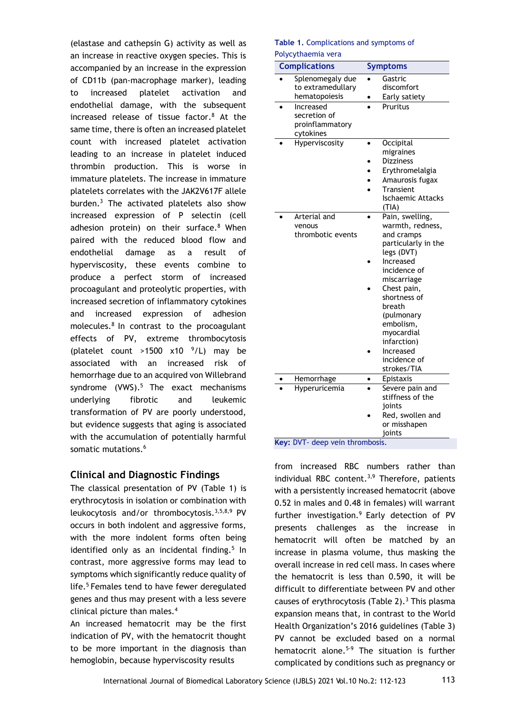(elastase and cathepsin G) activity as well as an increase in reactive oxygen species. This is accompanied by an increase in the expression of CD11b (pan-macrophage marker), leading to increased platelet activation and endothelial damage, with the subsequent increased release of tissue factor.<sup>8</sup> At the same time, there is often an increased platelet count with increased platelet activation leading to an increase in platelet induced thrombin production. This is worse in immature platelets. The increase in immature platelets correlates with the JAK2V617F allele burden.<sup>3</sup> The activated platelets also show increased expression of P selectin (cell adhesion protein) on their surface.<sup>8</sup> When paired with the reduced blood flow and endothelial damage as a result of hyperviscosity, these events combine to produce a perfect storm of increased procoagulant and proteolytic properties, with increased secretion of inflammatory cytokines and increased expression of adhesion molecules. $8$  In contrast to the procoagulant effects of PV, extreme thrombocytosis (platelet count >1500  $\times$ 10  $^{9}$ /L) may be associated with an increased risk of hemorrhage due to an acquired von Willebrand syndrome  $(VWS)$ .<sup>5</sup> The exact mechanisms underlying fibrotic and leukemic transformation of PV are poorly understood, but evidence suggests that aging is associated with the accumulation of potentially harmful somatic mutations.<sup>6</sup>

## **Clinical and Diagnostic Findings**

The classical presentation of PV (Table 1) is erythrocytosis in isolation or combination with leukocytosis and/or thrombocytosis.3,5,8,9 PV occurs in both indolent and aggressive forms, with the more indolent forms often being identified only as an incidental finding.<sup>5</sup> In contrast, more aggressive forms may lead to symptoms which significantly reduce quality of life.<sup>5</sup> Females tend to have fewer deregulated genes and thus may present with a less severe clinical picture than males.<sup>4</sup>

An increased hematocrit may be the first indication of PV, with the hematocrit thought to be more important in the diagnosis than hemoglobin, because hyperviscosity results

### **Table 1.** Complications and symptoms of Polycythaemia vera

| <b>Complications</b> | <b>Symptoms</b>          |
|----------------------|--------------------------|
| Splenomegaly due     | Gastric                  |
| to extramedullary    | discomfort               |
| hematopoiesis        | Early satiety            |
| Increased            | Pruritus                 |
| secretion of         |                          |
| proinflammatory      |                          |
| cytokines            |                          |
| Hyperviscosity       | Occipital                |
|                      | migraines                |
|                      | <b>Dizziness</b>         |
|                      | Erythromelalgia          |
|                      | Amaurosis fugax          |
|                      | Transient                |
|                      | <b>Ischaemic Attacks</b> |
|                      | (TIA)                    |
| Arterial and         | Pain, swelling,          |
| venous               | warmth, redness,         |
| thrombotic events    | and cramps               |
|                      | particularly in the      |
|                      | legs (DVT)               |
|                      | Increased                |
|                      | incidence of             |
|                      | miscarriage              |
|                      | Chest pain,              |
|                      | shortness of             |
|                      | breath                   |
|                      | (pulmonary               |
|                      | embolism,                |
|                      | myocardial               |
|                      | infarction)              |
|                      | Increased                |
|                      | incidence of             |
|                      | strokes/TIA              |
| Hemorrhage           | Epistaxis                |
| Hyperuricemia        | Severe pain and          |
|                      | stiffness of the         |
|                      | joints                   |
|                      | Red, swollen and         |
|                      | or misshapen             |
|                      | ioints                   |

from increased RBC numbers rather than individual RBC content.<sup>3,9</sup> Therefore, patients with a persistently increased hematocrit (above 0.52 in males and 0.48 in females) will warrant further investigation.<sup>9</sup> Early detection of PV presents challenges as the increase in hematocrit will often be matched by an increase in plasma volume, thus masking the overall increase in red cell mass. In cases where the hematocrit is less than 0.590, it will be difficult to differentiate between PV and other causes of erythrocytosis (Table 2).<sup>3</sup> This plasma expansion means that, in contrast to the World Health Organization's 2016 guidelines (Table 3) PV cannot be excluded based on a normal hematocrit alone.<sup>5-9</sup> The situation is further complicated by conditions such as pregnancy or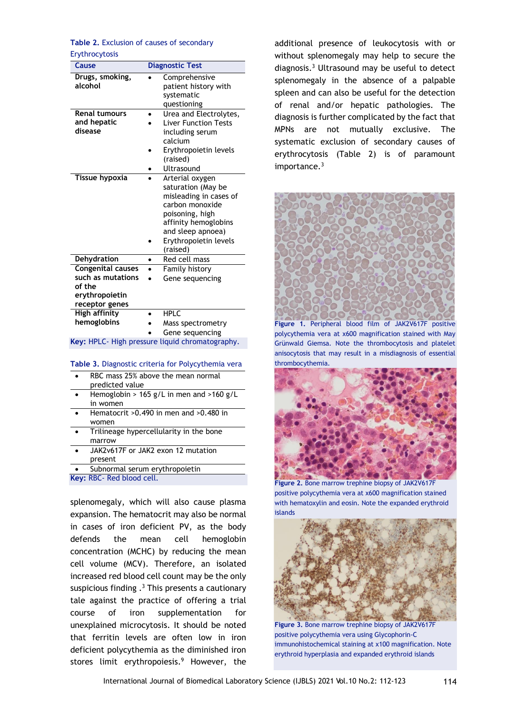**Table 2.** Exclusion of causes of secondary Erythrocytosis

| <b>Cause</b>                                                                                | <b>Diagnostic Test</b>                                                                                                                                                                  |
|---------------------------------------------------------------------------------------------|-----------------------------------------------------------------------------------------------------------------------------------------------------------------------------------------|
| Drugs, smoking,<br>alcohol                                                                  | Comprehensive<br>patient history with<br>systematic<br>questioning                                                                                                                      |
| <b>Renal tumours</b><br>and hepatic<br>disease                                              | Urea and Electrolytes,<br><b>Liver Function Tests</b><br>including serum<br>calcium<br>Erythropoietin levels<br>(raised)<br>Ultrasound                                                  |
| Tissue hypoxia                                                                              | Arterial oxygen<br>saturation (May be<br>misleading in cases of<br>carbon monoxide<br>poisoning, high<br>affinity hemoglobins<br>and sleep apnoea)<br>Erythropoietin levels<br>(raised) |
| Dehydration                                                                                 | Red cell mass<br>$\bullet$                                                                                                                                                              |
| <b>Congenital causes</b><br>such as mutations<br>of the<br>erythropoietin<br>receptor genes | Family history<br>Gene sequencing                                                                                                                                                       |
| <b>High affinity</b><br>hemoglobins                                                         | <b>HPLC</b><br>Mass spectrometry<br>Gene sequencing                                                                                                                                     |

**Key:** HPLC- High pressure liquid chromatography.

#### **Table 3.** Diagnostic criteria for Polycythemia vera

- RBC mass 25% above the mean normal predicted value
- Hemoglobin > 165 g/L in men and >160 g/L in women
- Hematocrit >0.490 in men and >0.480 in women
- Trilineage hypercellularity in the bone marrow
- JAK2v617F or JAK2 exon 12 mutation present
- Subnormal serum erythropoietin

**Key:** RBC- Red blood cell.

splenomegaly, which will also cause plasma expansion. The hematocrit may also be normal in cases of iron deficient PV, as the body defends the mean cell hemoglobin concentration (MCHC) by reducing the mean cell volume (MCV). Therefore, an isolated increased red blood cell count may be the only suspicious finding  $^{3}$  This presents a cautionary tale against the practice of offering a trial course of iron supplementation for unexplained microcytosis. It should be noted that ferritin levels are often low in iron deficient polycythemia as the diminished iron stores limit erythropoiesis.<sup>9</sup> However, the

additional presence of leukocytosis with or without splenomegaly may help to secure the diagnosis.<sup>3</sup> Ultrasound may be useful to detect splenomegaly in the absence of a palpable spleen and can also be useful for the detection of renal and/or hepatic pathologies. The diagnosis is further complicated by the fact that MPNs are not mutually exclusive. The systematic exclusion of secondary causes of erythrocytosis (Table 2) is of paramount importance.<sup>3</sup>



**Figure 1.** Peripheral blood film of JAK2V617F positive polycythemia vera at x600 magnification stained with May Grünwald Giemsa. Note the thrombocytosis and platelet anisocytosis that may result in a misdiagnosis of essential thrombocythemia.



**Figure 2.** Bone marrow trephine biopsy of JAK2V617F positive polycythemia vera at x600 magnification stained with hematoxylin and eosin. Note the expanded erythroid islands



**Figure 3.** Bone marrow trephine biopsy of JAK2V617F positive polycythemia vera using Glycophorin-C immunohistochemical staining at x100 magnification. Note erythroid hyperplasia and expanded erythroid islands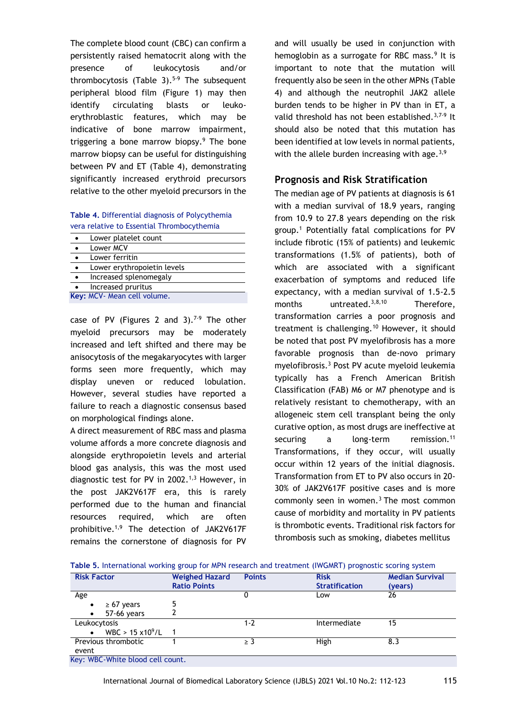The complete blood count (CBC) can confirm a persistently raised hematocrit along with the presence of leukocytosis and/or thrombocytosis (Table 3).<sup>5-9</sup> The subsequent peripheral blood film (Figure 1) may then identify circulating blasts or leukoerythroblastic features, which may be indicative of bone marrow impairment, triggering a bone marrow biopsy.<sup>9</sup> The bone marrow biopsy can be useful for distinguishing between PV and ET (Table 4), demonstrating significantly increased erythroid precursors relative to the other myeloid precursors in the

**Table 4.** Differential diagnosis of Polycythemia vera relative to Essential Thrombocythemia

| Lower platelet count        |
|-----------------------------|
| Lower MCV                   |
| Lower ferritin              |
| Lower erythropoietin levels |
| Increased splenomegaly      |
| Increased pruritus          |
| Key: MCV- Mean cell volume. |

case of PV (Figures 2 and  $3$ ).<sup>7-9</sup> The other myeloid precursors may be moderately increased and left shifted and there may be anisocytosis of the megakaryocytes with larger forms seen more frequently, which may display uneven or reduced lobulation. However, several studies have reported a failure to reach a diagnostic consensus based on morphological findings alone.

A direct measurement of RBC mass and plasma volume affords a more concrete diagnosis and alongside erythropoietin levels and arterial blood gas analysis, this was the most used diagnostic test for PV in 2002.<sup>1,3</sup> However, in the post JAK2V617F era, this is rarely performed due to the human and financial resources required, which are often prohibitive.1,9 The detection of JAK2V617F remains the cornerstone of diagnosis for PV

and will usually be used in conjunction with hemoglobin as a surrogate for RBC mass.<sup>9</sup> It is important to note that the mutation will frequently also be seen in the other MPNs (Table 4) and although the neutrophil JAK2 allele burden tends to be higher in PV than in ET, a valid threshold has not been established.<sup>3,7-9</sup> It should also be noted that this mutation has been identified at low levels in normal patients, with the allele burden increasing with age.  $3,9$ 

## **Prognosis and Risk Stratification**

The median age of PV patients at diagnosis is 61 with a median survival of 18.9 years, ranging from 10.9 to 27.8 years depending on the risk group.<sup>1</sup> Potentially fatal complications for PV include fibrotic (15% of patients) and leukemic transformations (1.5% of patients), both of which are associated with a significant exacerbation of symptoms and reduced life expectancy, with a median survival of 1.5-2.5 months untreated.<sup>3,8,10</sup> Therefore, transformation carries a poor prognosis and treatment is challenging.<sup>10</sup> However, it should be noted that post PV myelofibrosis has a more favorable prognosis than de-novo primary myelofibrosis.<sup>3</sup> Post PV acute myeloid leukemia typically has a French American British Classification (FAB) M6 or M7 phenotype and is relatively resistant to chemotherapy, with an allogeneic stem cell transplant being the only curative option, as most drugs are ineffective at securing a long-term remission.<sup>11</sup> Transformations, if they occur, will usually occur within 12 years of the initial diagnosis. Transformation from ET to PV also occurs in 20- 30% of JAK2V617F positive cases and is more commonly seen in women. $3$  The most common cause of morbidity and mortality in PV patients is thrombotic events. Traditional risk factors for thrombosis such as smoking, diabetes mellitus

|  |  |  | Table 5. International working group for MPN research and treatment (IWGMRT) prognostic scoring system |  |
|--|--|--|--------------------------------------------------------------------------------------------------------|--|
|  |  |  |                                                                                                        |  |

| <b>Risk Factor</b>                       | <b>Weighed Hazard</b> | <b>Points</b> | <b>Risk</b>           | <b>Median Survival</b> |
|------------------------------------------|-----------------------|---------------|-----------------------|------------------------|
|                                          | <b>Ratio Points</b>   |               | <b>Stratification</b> | (years)                |
| Age                                      |                       | U             | Low                   | 26                     |
| $\geq 67$ years<br>$\bullet$             | 5                     |               |                       |                        |
| 57-66 years<br>$\bullet$                 |                       |               |                       |                        |
| Leukocytosis                             |                       | $1 - 2$       | Intermediate          | 15                     |
| WBC > $15 \times 10^9$ /L 1<br>$\bullet$ |                       |               |                       |                        |
| Previous thrombotic                      |                       | ≥ 3           | High                  | 8.3                    |
| event                                    |                       |               |                       |                        |
| Key: WBC-White blood cell count.         |                       |               |                       |                        |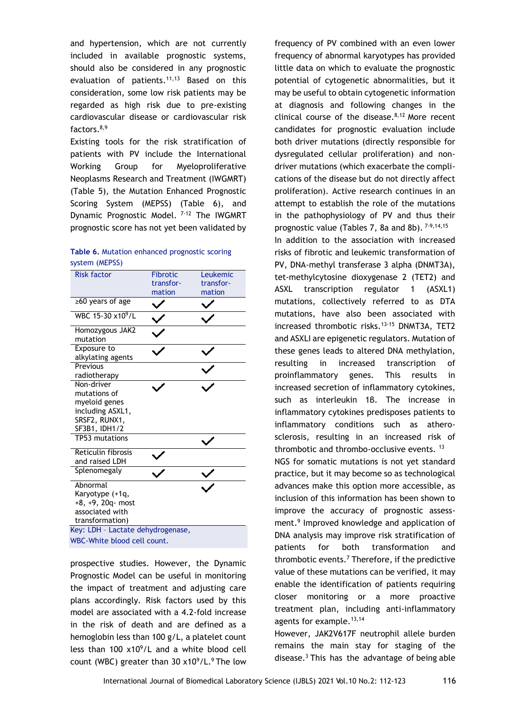and hypertension, which are not currently included in available prognostic systems, should also be considered in any prognostic evaluation of patients. $11,13$  Based on this consideration, some low risk patients may be regarded as high risk due to pre-existing cardiovascular disease or cardiovascular risk factors.8,9

Existing tools for the risk stratification of patients with PV include the International Working Group for Myeloproliferative Neoplasms Research and Treatment (IWGMRT) (Table 5), the Mutation Enhanced Prognostic Scoring System (MEPSS) (Table 6), and Dynamic Prognostic Model. <sup>7-12</sup> The IWGMRT prognostic score has not yet been validated by

| Table 6. Mutation enhanced prognostic scoring |  |
|-----------------------------------------------|--|
| system (MEPSS)                                |  |

| <b>Risk factor</b>                                                                                | <b>Fibrotic</b><br>transfor- | Leukemic<br>transfor- |
|---------------------------------------------------------------------------------------------------|------------------------------|-----------------------|
|                                                                                                   | mation                       | mation                |
| $\geq 60$ years of age                                                                            |                              |                       |
| WBC 15-30 x10 <sup>9</sup> /L                                                                     |                              |                       |
| Homozygous JAK2<br>mutation                                                                       |                              |                       |
| Exposure to<br>alkylating agents                                                                  |                              |                       |
| Previous<br>radiotherapy                                                                          |                              |                       |
| Non-driver<br>mutations of<br>myeloid genes<br>including ASXL1,<br>SRSF2, RUNX1,<br>SF3B1, IDH1/2 |                              |                       |
| TP53 mutations                                                                                    |                              |                       |
| Reticulin fibrosis<br>and raised LDH                                                              |                              |                       |
| Splenomegaly                                                                                      |                              |                       |
| Abnormal<br>Karyotype (+1q,<br>+8, +9, 20q- most<br>associated with<br>transformation)            |                              |                       |
| Key: LDH - Lactate dehydrogenase,                                                                 |                              |                       |
| WBC-White blood cell count.                                                                       |                              |                       |

prospective studies. However, the Dynamic Prognostic Model can be useful in monitoring the impact of treatment and adjusting care plans accordingly. Risk factors used by this model are associated with a 4.2-fold increase in the risk of death and are defined as a hemoglobin less than 100 g/L, a platelet count less than  $100 \times 10^9$ /L and a white blood cell count (WBC) greater than 30  $x10^9/L$ .<sup>9</sup> The low

frequency of PV combined with an even lower frequency of abnormal karyotypes has provided little data on which to evaluate the prognostic potential of cytogenetic abnormalities, but it may be useful to obtain cytogenetic information at diagnosis and following changes in the clinical course of the disease. $8,12$  More recent candidates for prognostic evaluation include both driver mutations (directly responsible for dysregulated cellular proliferation) and nondriver mutations (which exacerbate the complications of the disease but do not directly affect proliferation). Active research continues in an attempt to establish the role of the mutations in the pathophysiology of PV and thus their prognostic value (Tables 7, 8a and 8b). <sup>7-9,14,15</sup> In addition to the association with increased risks of fibrotic and leukemic transformation of PV, DNA-methyl transferase 3 alpha (DNMT3A), tet-methylcytosine dioxygenase 2 (TET2) and ASXL transcription regulator 1 (ASXL1) mutations, collectively referred to as DTA mutations, have also been associated with increased thrombotic risks.<sup>13-15</sup> DNMT3A, TET2 and ASXLI are epigenetic regulators. Mutation of these genes leads to altered DNA methylation, resulting in increased transcription of proinflammatory genes. This results in increased secretion of inflammatory cytokines, such as interleukin 1β. The increase in inflammatory cytokines predisposes patients to inflammatory conditions such as atherosclerosis, resulting in an increased risk of thrombotic and thrombo-occlusive events.<sup>13</sup> NGS for somatic mutations is not yet standard practice, but it may become so as technological advances make this option more accessible, as inclusion of this information has been shown to improve the accuracy of prognostic assessment.<sup>9</sup> Improved knowledge and application of DNA analysis may improve risk stratification of patients for both transformation and thrombotic events. $<sup>7</sup>$  Therefore, if the predictive</sup> value of these mutations can be verified, it may enable the identification of patients requiring closer monitoring or a more proactive treatment plan, including anti-inflammatory agents for example.<sup>13,14</sup>

However, JAK2V617F neutrophil allele burden remains the main stay for staging of the disease. $3$  This has the advantage of being able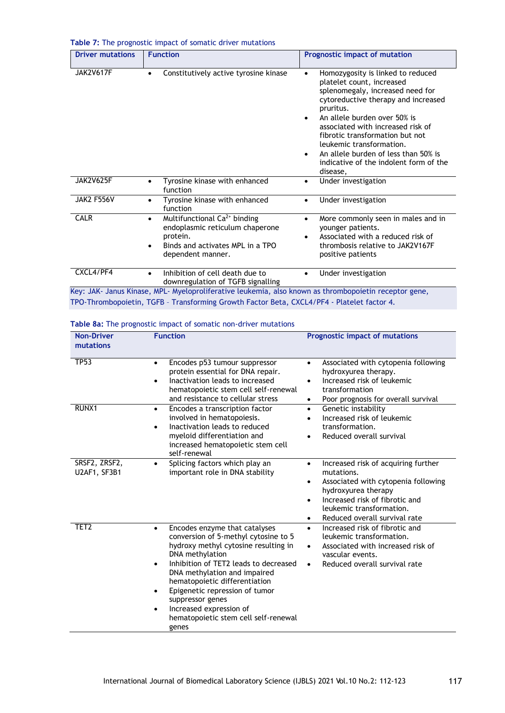|  | Table 7: The prognostic impact of somatic driver mutations |
|--|------------------------------------------------------------|
|--|------------------------------------------------------------|

| <b>Driver mutations</b> | <b>Function</b>                                                                                                                                                            | Prognostic impact of mutation                                                                                                                                                                                                                                                                                                                                                                                      |
|-------------------------|----------------------------------------------------------------------------------------------------------------------------------------------------------------------------|--------------------------------------------------------------------------------------------------------------------------------------------------------------------------------------------------------------------------------------------------------------------------------------------------------------------------------------------------------------------------------------------------------------------|
| <b>JAK2V617F</b>        | Constitutively active tyrosine kinase<br>$\bullet$                                                                                                                         | Homozygosity is linked to reduced<br>$\bullet$<br>platelet count, increased<br>splenomegaly, increased need for<br>cytoreductive therapy and increased<br>pruritus.<br>An allele burden over 50% is<br>associated with increased risk of<br>fibrotic transformation but not<br>leukemic transformation.<br>An allele burden of less than 50% is<br>$\bullet$<br>indicative of the indolent form of the<br>disease, |
| JAK2V625F               | Tyrosine kinase with enhanced<br>$\bullet$<br>function                                                                                                                     | Under investigation<br>$\bullet$                                                                                                                                                                                                                                                                                                                                                                                   |
| <b>JAK2 F556V</b>       | Tyrosine kinase with enhanced<br>$\bullet$<br>function                                                                                                                     | Under investigation<br>$\bullet$                                                                                                                                                                                                                                                                                                                                                                                   |
| <b>CALR</b>             | Multifunctional Ca <sup>2+</sup> binding<br>$\bullet$<br>endoplasmic reticulum chaperone<br>protein.<br>Binds and activates MPL in a TPO<br>$\bullet$<br>dependent manner. | More commonly seen in males and in<br>$\bullet$<br>younger patients.<br>Associated with a reduced risk of<br>$\bullet$<br>thrombosis relative to JAK2V167F<br>positive patients                                                                                                                                                                                                                                    |
| CXCL4/PF4               | Inhibition of cell death due to<br>$\bullet$<br>downregulation of TGFB signalling                                                                                          | Under investigation<br>$\bullet$                                                                                                                                                                                                                                                                                                                                                                                   |
|                         | Key: JAK- Janus Kinase, MPL- Myeloproliferative leukemia, also known as thrombopoietin receptor gene,                                                                      |                                                                                                                                                                                                                                                                                                                                                                                                                    |

TPO-Thrombopoietin, TGFB – Transforming Growth Factor Beta, CXCL4/PF4 - Platelet factor 4.

|  | Table 8a: The prognostic impact of somatic non-driver mutations |  |  |  |  |
|--|-----------------------------------------------------------------|--|--|--|--|
|--|-----------------------------------------------------------------|--|--|--|--|

| <b>Non-Driver</b>             | <b>Function</b>                                                                                                                                                                                                                                                                                                                                                                                | <b>Prognostic impact of mutations</b>                                                                                                                                                                                                         |
|-------------------------------|------------------------------------------------------------------------------------------------------------------------------------------------------------------------------------------------------------------------------------------------------------------------------------------------------------------------------------------------------------------------------------------------|-----------------------------------------------------------------------------------------------------------------------------------------------------------------------------------------------------------------------------------------------|
| mutations                     |                                                                                                                                                                                                                                                                                                                                                                                                |                                                                                                                                                                                                                                               |
| <b>TP53</b>                   | Encodes p53 tumour suppressor<br>$\bullet$<br>protein essential for DNA repair.<br>Inactivation leads to increased<br>hematopoietic stem cell self-renewal<br>and resistance to cellular stress                                                                                                                                                                                                | Associated with cytopenia following<br>$\bullet$<br>hydroxyurea therapy.<br>Increased risk of leukemic<br>transformation<br>Poor prognosis for overall survival<br>$\bullet$                                                                  |
| RUNX1                         | Encodes a transcription factor<br>$\bullet$<br>involved in hematopoiesis.<br>Inactivation leads to reduced<br>$\bullet$<br>myeloid differentiation and<br>increased hematopoietic stem cell<br>self-renewal                                                                                                                                                                                    | Genetic instability<br>$\bullet$<br>Increased risk of leukemic<br>$\bullet$<br>transformation.<br>Reduced overall survival<br>$\bullet$                                                                                                       |
| SRSF2, ZRSF2,<br>U2AF1, SF3B1 | Splicing factors which play an<br>$\bullet$<br>important role in DNA stability                                                                                                                                                                                                                                                                                                                 | Increased risk of acquiring further<br>$\bullet$<br>mutations.<br>Associated with cytopenia following<br>hydroxyurea therapy<br>Increased risk of fibrotic and<br>$\bullet$<br>leukemic transformation.<br>Reduced overall survival rate<br>٠ |
| TET <sub>2</sub>              | Encodes enzyme that catalyses<br>$\bullet$<br>conversion of 5-methyl cytosine to 5<br>hydroxy methyl cytosine resulting in<br>DNA methylation<br>Inhibition of TET2 leads to decreased<br>٠<br>DNA methylation and impaired<br>hematopoietic differentiation<br>Epigenetic repression of tumor<br>suppressor genes<br>Increased expression of<br>hematopoietic stem cell self-renewal<br>genes | Increased risk of fibrotic and<br>$\bullet$<br>leukemic transformation.<br>Associated with increased risk of<br>$\bullet$<br>vascular events.<br>Reduced overall survival rate<br>$\bullet$                                                   |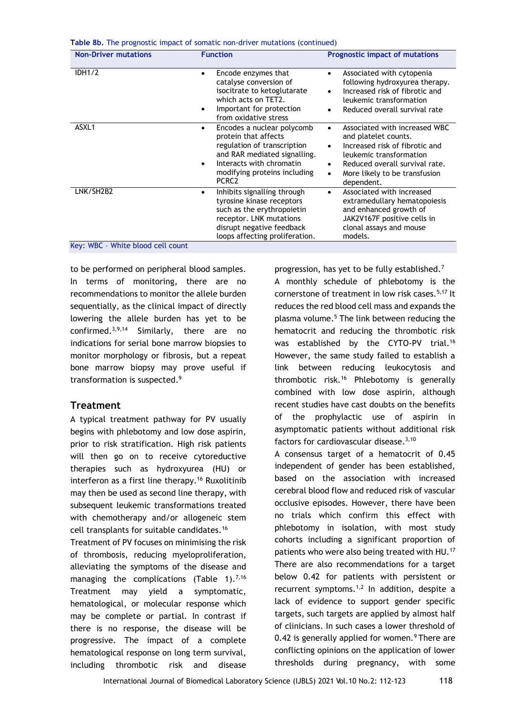|  |  |  | Table 8b. The prognostic impact of somatic non-driver mutations (continued) |  |  |
|--|--|--|-----------------------------------------------------------------------------|--|--|
|--|--|--|-----------------------------------------------------------------------------|--|--|

| <b>Non-Driver mutations</b>                                 | <b>Function</b>                                                                                                                                                                                                      | Prognostic impact of mutations                                                                                                                                                                                        |
|-------------------------------------------------------------|----------------------------------------------------------------------------------------------------------------------------------------------------------------------------------------------------------------------|-----------------------------------------------------------------------------------------------------------------------------------------------------------------------------------------------------------------------|
| <b>IDH1/2</b>                                               | Encode enzymes that<br>catalyse conversion of<br>isocitrate to ketoglutarate<br>which acts on TET2.<br>Important for protection<br>from oxidative stress                                                             | Associated with cytopenia<br>$\bullet$<br>following hydroxyurea therapy.<br>Increased risk of fibrotic and<br>leukemic transformation<br>Reduced overall survival rate                                                |
| ASXL1                                                       | Encodes a nuclear polycomb<br>٠<br>protein that affects<br>regulation of transcription<br>and RAR mediated signalling.<br>Interacts with chromatin<br>$\bullet$<br>modifying proteins including<br>PCRC <sub>2</sub> | Associated with increased WBC<br>and platelet counts.<br>Increased risk of fibrotic and<br>leukemic transformation<br>Reduced overall survival rate.<br>٠<br>More likely to be transfusion<br>$\bullet$<br>dependent. |
| LNK/SH2B2<br>$V_{\text{out}}$ MDC<br>White blood coll count | Inhibits signalling through<br>tyrosine kinase receptors<br>such as the erythropoietin<br>receptor. LNK mutations<br>disrupt negative feedback<br>loops affecting proliferation.                                     | Associated with increased<br>$\bullet$<br>extramedullary hematopoiesis<br>and enhanced growth of<br>JAK2V167F positive cells in<br>clonal assays and mouse<br>models.                                                 |

Key: WBC – White blood cell count

to be performed on peripheral blood samples. In terms of monitoring, there are no recommendations to monitor the allele burden sequentially, as the clinical impact of directly lowering the allele burden has yet to be confirmed. $3,9,14$  Similarly, there are no indications for serial bone marrow biopsies to monitor morphology or fibrosis, but a repeat bone marrow biopsy may prove useful if transformation is suspected.<sup>9</sup>

## **Treatment**

A typical treatment pathway for PV usually begins with phlebotomy and low dose aspirin, prior to risk stratification. High risk patients will then go on to receive cytoreductive therapies such as hydroxyurea (HU) or interferon as a first line therapy.<sup>16</sup> Ruxolitinib may then be used as second line therapy, with subsequent leukemic transformations treated with chemotherapy and/or allogeneic stem cell transplants for suitable candidates.<sup>16</sup>

Treatment of PV focuses on minimising the risk of thrombosis, reducing myeloproliferation, alleviating the symptoms of the disease and managing the complications (Table 1).<sup>7,16</sup> Treatment may yield a symptomatic, hematological, or molecular response which may be complete or partial. In contrast if there is no response, the disease will be progressive. The impact of a complete hematological response on long term survival, including thrombotic risk and disease progression, has yet to be fully established.<sup>7</sup> A monthly schedule of phlebotomy is the cornerstone of treatment in low risk cases.<sup>5,17</sup> It reduces the red blood cell mass and expands the plasma volume.<sup>5</sup> The link between reducing the hematocrit and reducing the thrombotic risk was established by the CYTO-PV trial.<sup>16</sup> However, the same study failed to establish a link between reducing leukocytosis and thrombotic risk.<sup>16</sup> Phlebotomy is generally combined with low dose aspirin, although recent studies have cast doubts on the benefits of the prophylactic use of aspirin in asymptomatic patients without additional risk factors for cardiovascular disease. $3,10$ 

A consensus target of a hematocrit of 0.45 independent of gender has been established, based on the association with increased cerebral blood flow and reduced risk of vascular occlusive episodes. However, there have been no trials which confirm this effect with phlebotomy in isolation, with most study cohorts including a significant proportion of patients who were also being treated with HU.<sup>17</sup> There are also recommendations for a target below 0.42 for patients with persistent or recurrent symptoms. $1,2$  In addition, despite a lack of evidence to support gender specific targets, such targets are applied by almost half of clinicians. In such cases a lower threshold of 0.42 is generally applied for women. <sup>9</sup> There are conflicting opinions on the application of lower thresholds during pregnancy, with some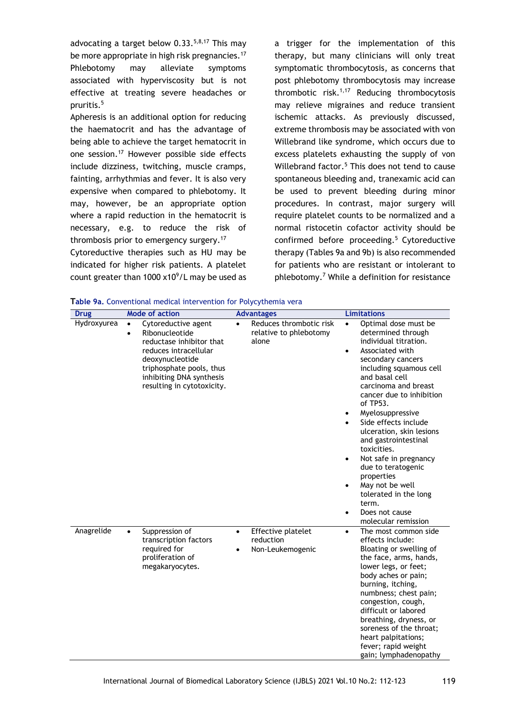advocating a target below  $0.33^{5,8,17}$  This may be more appropriate in high risk pregnancies.<sup>17</sup> Phlebotomy may alleviate symptoms associated with hyperviscosity but is not effective at treating severe headaches or pruritis.<sup>5</sup>

Apheresis is an additional option for reducing the haematocrit and has the advantage of being able to achieve the target hematocrit in one session.<sup>17</sup> However possible side effects include dizziness, twitching, muscle cramps, fainting, arrhythmias and fever. It is also very expensive when compared to phlebotomy. It may, however, be an appropriate option where a rapid reduction in the hematocrit is necessary, e.g. to reduce the risk of thrombosis prior to emergency surgery.<sup>17</sup>

Cytoreductive therapies such as HU may be indicated for higher risk patients. A platelet count greater than 1000  $x10^9$ /L may be used as a trigger for the implementation of this therapy, but many clinicians will only treat symptomatic thrombocytosis, as concerns that post phlebotomy thrombocytosis may increase thrombotic risk. $1,17$  Reducing thrombocytosis may relieve migraines and reduce transient ischemic attacks. As previously discussed, extreme thrombosis may be associated with von Willebrand like syndrome, which occurs due to excess platelets exhausting the supply of von Willebrand factor.<sup>5</sup> This does not tend to cause spontaneous bleeding and, tranexamic acid can be used to prevent bleeding during minor procedures. In contrast, major surgery will require platelet counts to be normalized and a normal ristocetin cofactor activity should be confirmed before proceeding.<sup>5</sup> Cytoreductive therapy (Tables 9a and 9b) is also recommended for patients who are resistant or intolerant to phlebotomy.<sup>7</sup> While a definition for resistance

| Table 9a. Conventional medical intervention for Polycythemia vera |  |  |  |  |
|-------------------------------------------------------------------|--|--|--|--|
|-------------------------------------------------------------------|--|--|--|--|

| <b>Drug</b> |                        | <b>Mode of action</b>                                                                                                                                                                               |           | <b>Advantages</b>                                          |                                                               | <b>Limitations</b>                                                                                                                                                                                                                                                                                                                                                                                                                                                                                 |
|-------------|------------------------|-----------------------------------------------------------------------------------------------------------------------------------------------------------------------------------------------------|-----------|------------------------------------------------------------|---------------------------------------------------------------|----------------------------------------------------------------------------------------------------------------------------------------------------------------------------------------------------------------------------------------------------------------------------------------------------------------------------------------------------------------------------------------------------------------------------------------------------------------------------------------------------|
| Hydroxyurea | $\bullet$<br>$\bullet$ | Cytoreductive agent<br>Ribonucleotide<br>reductase inhibitor that<br>reduces intracellular<br>deoxynucleotide<br>triphosphate pools, thus<br>inhibiting DNA synthesis<br>resulting in cytotoxicity. |           | Reduces thrombotic risk<br>relative to phlebotomy<br>alone | $\bullet$<br>$\bullet$<br>$\bullet$<br>$\bullet$<br>$\bullet$ | Optimal dose must be<br>determined through<br>individual titration.<br>Associated with<br>secondary cancers<br>including squamous cell<br>and basal cell<br>carcinoma and breast<br>cancer due to inhibition<br>of TP53.<br>Myelosuppressive<br>Side effects include<br>ulceration, skin lesions<br>and gastrointestinal<br>toxicities.<br>Not safe in pregnancy<br>due to teratogenic<br>properties<br>May not be well<br>tolerated in the long<br>term.<br>Does not cause<br>molecular remission |
| Anagrelide  | $\bullet$              | Suppression of<br>transcription factors<br>required for<br>proliferation of<br>megakaryocytes.                                                                                                      | $\bullet$ | Effective platelet<br>reduction<br>Non-Leukemogenic        | $\bullet$                                                     | The most common side<br>effects include:<br>Bloating or swelling of<br>the face, arms, hands,<br>lower legs, or feet;<br>body aches or pain;<br>burning, itching,<br>numbness; chest pain;<br>congestion, cough,<br>difficult or labored<br>breathing, dryness, or<br>soreness of the throat;<br>heart palpitations;<br>fever; rapid weight<br>gain; lymphadenopathy                                                                                                                               |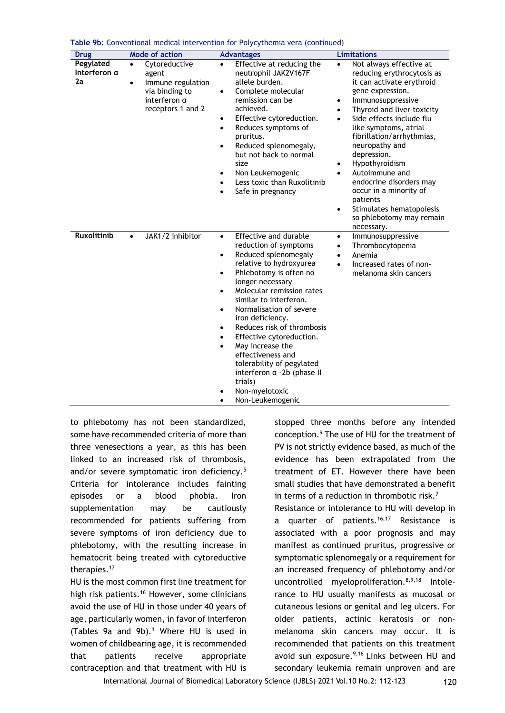| <b>Drug</b>                     | <b>Mode of action</b>                                                                                                        | <b>Advantages</b>                                                                                                                                                                                                                                                                                                                                                                                                                                                                                                                                                                      | <b>Limitations</b>                                                                                                                                                                                                                                                                                                                                                                                                                                                                                                                    |
|---------------------------------|------------------------------------------------------------------------------------------------------------------------------|----------------------------------------------------------------------------------------------------------------------------------------------------------------------------------------------------------------------------------------------------------------------------------------------------------------------------------------------------------------------------------------------------------------------------------------------------------------------------------------------------------------------------------------------------------------------------------------|---------------------------------------------------------------------------------------------------------------------------------------------------------------------------------------------------------------------------------------------------------------------------------------------------------------------------------------------------------------------------------------------------------------------------------------------------------------------------------------------------------------------------------------|
| Pegylated<br>Interferon a<br>2a | Cytoreductive<br>$\bullet$<br>agent<br>Immune regulation<br>$\bullet$<br>via binding to<br>interferon a<br>receptors 1 and 2 | Effective at reducing the<br>$\bullet$<br>neutrophil JAK2V167F<br>allele burden.<br>Complete molecular<br>٠<br>remission can be<br>achieved.<br>Effective cytoreduction.<br>٠<br>Reduces symptoms of<br>$\bullet$<br>pruritus.<br>Reduced splenomegaly,<br>$\bullet$<br>but not back to normal<br>size<br>Non Leukemogenic<br>٠<br>Less toxic than Ruxolitinib<br>$\bullet$<br>Safe in pregnancy<br>$\bullet$                                                                                                                                                                          | Not always effective at<br>$\bullet$<br>reducing erythrocytosis as<br>it can activate erythroid<br>gene expression.<br>Immunosuppressive<br>$\bullet$<br>Thyroid and liver toxicity<br>$\bullet$<br>Side effects include flu<br>$\bullet$<br>like symptoms, atrial<br>fibrillation/arrhythmias,<br>neuropathy and<br>depression.<br>Hypothyroidism<br>Autoimmune and<br>$\bullet$<br>endocrine disorders may<br>occur in a minority of<br>patients<br>Stimulates hematopoiesis<br>$\bullet$<br>so phlebotomy may remain<br>necessary. |
| <b>Ruxolitinib</b>              | JAK1/2 inhibitor<br>$\bullet$                                                                                                | Effective and durable<br>$\bullet$<br>reduction of symptoms<br>Reduced splenomegaly<br>٠<br>relative to hydroxyurea<br>Phlebotomy is often no<br>$\bullet$<br>longer necessary<br>Molecular remission rates<br>$\bullet$<br>similar to interferon.<br>Normalisation of severe<br>$\bullet$<br>iron deficiency.<br>Reduces risk of thrombosis<br>$\bullet$<br>Effective cytoreduction.<br>$\bullet$<br>May increase the<br>$\bullet$<br>effectiveness and<br>tolerability of pegylated<br>interferon a -2b (phase II<br>trials)<br>Non-myelotoxic<br>٠<br>Non-Leukemogenic<br>$\bullet$ | Immunosuppressive<br>$\bullet$<br>Thrombocytopenia<br>$\bullet$<br>Anemia<br>$\bullet$<br>Increased rates of non-<br>$\bullet$<br>melanoma skin cancers                                                                                                                                                                                                                                                                                                                                                                               |

**Table 9b:** Conventional medical intervention for Polycythemia vera (continued)

to phlebotomy has not been standardized, some have recommended criteria of more than three venesections a year, as this has been linked to an increased risk of thrombosis, and/or severe symptomatic iron deficiency.<sup>5</sup> Criteria for intolerance includes fainting episodes or a blood phobia. Iron supplementation may be cautiously recommended for patients suffering from severe symptoms of iron deficiency due to phlebotomy, with the resulting increase in hematocrit being treated with cytoreductive therapies.<sup>17</sup>

HU is the most common first line treatment for high risk patients.<sup>16</sup> However, some clinicians avoid the use of HU in those under 40 years of age, particularly women, in favor of interferon (Tables 9a and 9b).<sup>1</sup> Where HU is used in women of childbearing age, it is recommended that patients receive appropriate contraception and that treatment with HU is

stopped three months before any intended conception.<sup>9</sup> The use of HU for the treatment of PV is not strictly evidence based, as much of the evidence has been extrapolated from the treatment of ET. However there have been small studies that have demonstrated a benefit in terms of a reduction in thrombotic risk.<sup>7</sup>

Resistance or intolerance to HU will develop in a quarter of patients.<sup>16,17</sup> Resistance is associated with a poor prognosis and may manifest as continued pruritus, progressive or symptomatic splenomegaly or a requirement for an increased frequency of phlebotomy and/or uncontrolled myeloproliferation.<sup>8,9,18</sup> Intolerance to HU usually manifests as mucosal or cutaneous lesions or genital and leg ulcers. For older patients, actinic keratosis or nonmelanoma skin cancers may occur. It is recommended that patients on this treatment avoid sun exposure.<sup>9,16</sup> Links between HU and secondary leukemia remain unproven and are

International Journal of Biomedical Laboratory Science (IJBLS) 2021 Vol.10 No.2: 112-123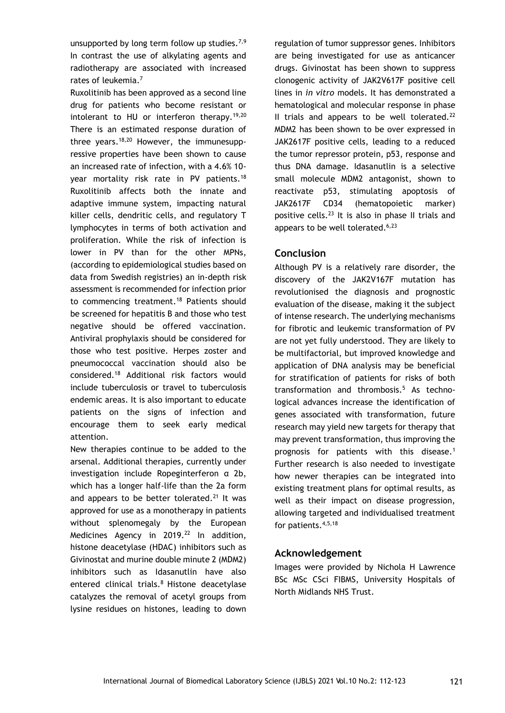unsupported by long term follow up studies.<sup>7,9</sup> In contrast the use of alkylating agents and radiotherapy are associated with increased rates of leukemia.<sup>7</sup>

Ruxolitinib has been approved as a second line drug for patients who become resistant or intolerant to HU or interferon therapy.<sup>19,20</sup> There is an estimated response duration of three years.<sup>18,20</sup> However, the immunesuppressive properties have been shown to cause an increased rate of infection, with a 4.6% 10 year mortality risk rate in PV patients.<sup>18</sup> Ruxolitinib affects both the innate and adaptive immune system, impacting natural killer cells, dendritic cells, and regulatory T lymphocytes in terms of both activation and proliferation. While the risk of infection is lower in PV than for the other MPNs, (according to epidemiological studies based on data from Swedish registries) an in-depth risk assessment is recommended for infection prior to commencing treatment.<sup>18</sup> Patients should be screened for hepatitis B and those who test negative should be offered vaccination. Antiviral prophylaxis should be considered for those who test positive. Herpes zoster and pneumococcal vaccination should also be considered.<sup>18</sup> Additional risk factors would include tuberculosis or travel to tuberculosis endemic areas. It is also important to educate patients on the signs of infection and encourage them to seek early medical attention.

New therapies continue to be added to the arsenal. Additional therapies, currently under investigation include Ropeginterferon α 2b, which has a longer half-life than the 2a form and appears to be better tolerated.<sup>21</sup> It was approved for use as a monotherapy in patients without splenomegaly by the European Medicines Agency in 2019.<sup>22</sup> In addition, histone deacetylase (HDAC) inhibitors such as Givinostat and murine double minute 2 (MDM2) inhibitors such as Idasanutlin have also entered clinical trials.<sup>8</sup> Histone deacetylase catalyzes the removal of acetyl groups from lysine residues on histones, leading to down

regulation of tumor suppressor genes. Inhibitors are being investigated for use as anticancer drugs. Givinostat has been shown to suppress clonogenic activity of JAK2V617F positive cell lines in *in vitro* models. It has demonstrated a hematological and molecular response in phase II trials and appears to be well tolerated. $^{22}$ MDM2 has been shown to be over expressed in JAK2617F positive cells, leading to a reduced the tumor repressor protein, p53, response and thus DNA damage. Idasanutlin is a selective small molecule MDM2 antagonist, shown to reactivate p53, stimulating apoptosis of JAK2617F CD34 (hematopoietic marker) positive cells.<sup>23</sup> It is also in phase II trials and appears to be well tolerated. $6,23$ 

## **Conclusion**

Although PV is a relatively rare disorder, the discovery of the JAK2V167F mutation has revolutionised the diagnosis and prognostic evaluation of the disease, making it the subject of intense research. The underlying mechanisms for fibrotic and leukemic transformation of PV are not yet fully understood. They are likely to be multifactorial, but improved knowledge and application of DNA analysis may be beneficial for stratification of patients for risks of both transformation and thrombosis.<sup>5</sup> As technological advances increase the identification of genes associated with transformation, future research may yield new targets for therapy that may prevent transformation, thus improving the prognosis for patients with this disease.<sup>1</sup> Further research is also needed to investigate how newer therapies can be integrated into existing treatment plans for optimal results, as well as their impact on disease progression, allowing targeted and individualised treatment for patients.4,5,18

## **Acknowledgement**

Images were provided by Nichola H Lawrence BSc MSc CSci FIBMS, University Hospitals of North Midlands NHS Trust.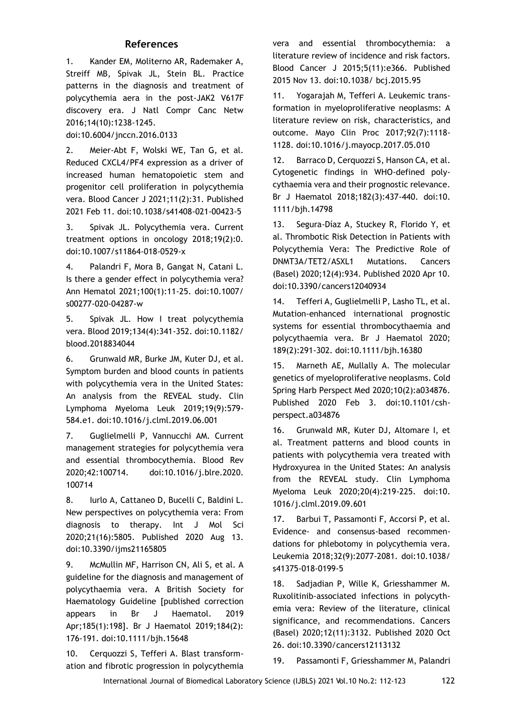## **References**

1. Kander EM, Moliterno AR, Rademaker A, Streiff MB, Spivak JL, Stein BL. Practice patterns in the diagnosis and treatment of polycythemia aera in the post-JAK2 V617F discovery era. J Natl Compr Canc Netw 2016;14(10):1238-1245.

doi:10.6004/jnccn.2016.0133

2. Meier-Abt F, Wolski WE, Tan G, et al. Reduced CXCL4/PF4 expression as a driver of increased human hematopoietic stem and progenitor cell proliferation in polycythemia vera. Blood Cancer J 2021;11(2):31. Published 2021 Feb 11. doi:10.1038/s41408-021-00423-5

3. Spivak JL. Polycythemia vera. Current treatment options in oncology 2018;19(2):0. doi:10.1007/s11864-018-0529-x

4. Palandri F, Mora B, Gangat N, Catani L. Is there a gender effect in polycythemia vera? Ann Hematol 2021;100(1):11-25. doi:10.1007/ s00277-020-04287-w

5. Spivak JL. How I treat polycythemia vera. Blood 2019;134(4):341-352. doi:10.1182/ blood.2018834044

6. Grunwald MR, Burke JM, Kuter DJ, et al. Symptom burden and blood counts in patients with polycythemia vera in the United States: An analysis from the REVEAL study. Clin Lymphoma Myeloma Leuk 2019;19(9):579- 584.e1. doi:10.1016/j.clml.2019.06.001

7. Guglielmelli P, Vannucchi AM. Current management strategies for polycythemia vera and essential thrombocythemia. Blood Rev 2020;42:100714. doi:10.1016/j.blre.2020. 100714

8. Iurlo A, Cattaneo D, Bucelli C, Baldini L. New perspectives on polycythemia vera: From diagnosis to therapy. Int J Mol Sci 2020;21(16):5805. Published 2020 Aug 13. doi:10.3390/ijms21165805

9. McMullin MF, Harrison CN, Ali S, et al. A guideline for the diagnosis and management of polycythaemia vera. A British Society for Haematology Guideline [published correction appears in Br J Haematol. 2019 Apr;185(1):198]. Br J Haematol 2019;184(2): 176-191. doi:10.1111/bjh.15648

10. Cerquozzi S, Tefferi A. Blast transformation and fibrotic progression in polycythemia vera and essential thrombocythemia: a literature review of incidence and risk factors. Blood Cancer J 2015;5(11):e366. Published 2015 Nov 13. doi:10.1038/ bcj.2015.95

11. Yogarajah M, Tefferi A. Leukemic transformation in myeloproliferative neoplasms: A literature review on risk, characteristics, and outcome. Mayo Clin Proc 2017;92(7):1118- 1128. doi:10.1016/j.mayocp.2017.05.010

12. Barraco D, Cerquozzi S, Hanson CA, et al. Cytogenetic findings in WHO-defined polycythaemia vera and their prognostic relevance. Br J Haematol 2018;182(3):437-440. doi:10. 1111/bjh.14798

13. Segura-Díaz A, Stuckey R, Florido Y, et al. Thrombotic Risk Detection in Patients with Polycythemia Vera: The Predictive Role of DNMT3A/TET2/ASXL1 Mutations. Cancers (Basel) 2020;12(4):934. Published 2020 Apr 10. doi:10.3390/cancers12040934

14. Tefferi A, Guglielmelli P, Lasho TL, et al. Mutation-enhanced international prognostic systems for essential thrombocythaemia and polycythaemia vera. Br J Haematol 2020; 189(2):291-302. doi:10.1111/bjh.16380

15. Marneth AE, Mullally A. The molecular genetics of myeloproliferative neoplasms. Cold Spring Harb Perspect Med 2020;10(2):a034876. Published 2020 Feb 3. doi:10.1101/cshperspect.a034876

16. Grunwald MR, Kuter DJ, Altomare I, et al. Treatment patterns and blood counts in patients with polycythemia vera treated with Hydroxyurea in the United States: An analysis from the REVEAL study. Clin Lymphoma Myeloma Leuk 2020;20(4):219-225. doi:10. 1016/j.clml.2019.09.601

17. Barbui T, Passamonti F, Accorsi P, et al. Evidence- and consensus-based recommendations for phlebotomy in polycythemia vera. Leukemia 2018;32(9):2077-2081. doi:10.1038/ s41375-018-0199-5

18. Sadjadian P, Wille K, Griesshammer M. Ruxolitinib-associated infections in polycythemia vera: Review of the literature, clinical significance, and recommendations. Cancers (Basel) 2020;12(11):3132. Published 2020 Oct 26. doi:10.3390/cancers12113132

19. Passamonti F, Griesshammer M, Palandri